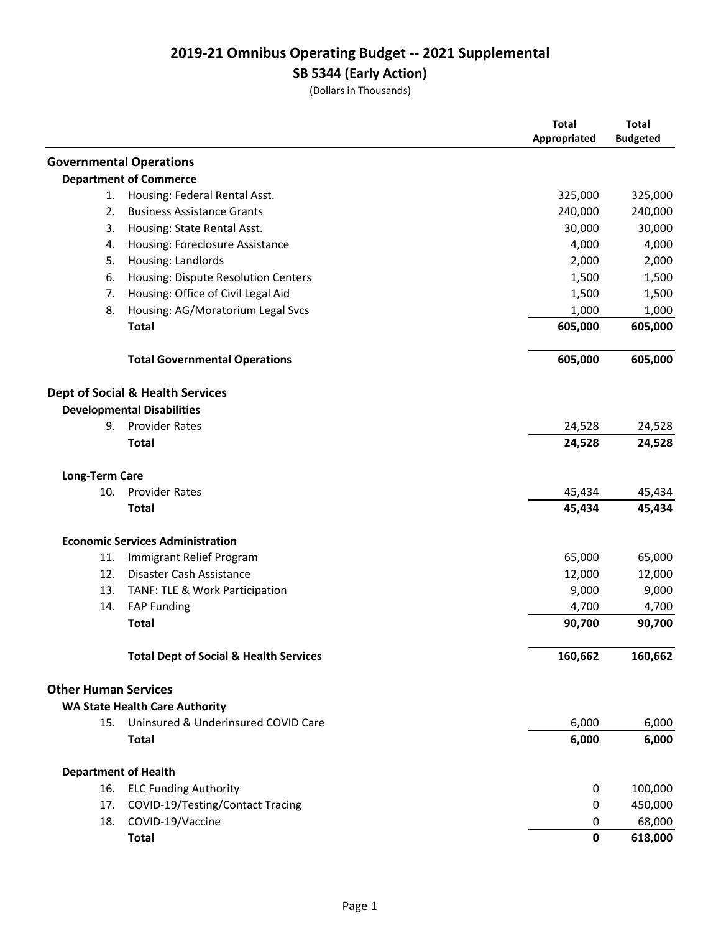# **2019-21 Omnibus Operating Budget -- 2021 Supplemental**

**SB 5344 (Early Action)**

(Dollars in Thousands)

|                             |                                                   | <b>Total</b><br>Appropriated | <b>Total</b><br><b>Budgeted</b> |
|-----------------------------|---------------------------------------------------|------------------------------|---------------------------------|
|                             | <b>Governmental Operations</b>                    |                              |                                 |
|                             | <b>Department of Commerce</b>                     |                              |                                 |
| 1.                          | Housing: Federal Rental Asst.                     | 325,000                      | 325,000                         |
| 2.                          | <b>Business Assistance Grants</b>                 | 240,000                      | 240,000                         |
| 3.                          | Housing: State Rental Asst.                       | 30,000                       | 30,000                          |
| 4.                          | Housing: Foreclosure Assistance                   | 4,000                        | 4,000                           |
| 5.                          | Housing: Landlords                                | 2,000                        | 2,000                           |
| 6.                          | Housing: Dispute Resolution Centers               | 1,500                        | 1,500                           |
| 7.                          | Housing: Office of Civil Legal Aid                | 1,500                        | 1,500                           |
| 8.                          | Housing: AG/Moratorium Legal Svcs                 | 1,000                        | 1,000                           |
|                             | <b>Total</b>                                      | 605,000                      | 605,000                         |
|                             | <b>Total Governmental Operations</b>              | 605,000                      | 605,000                         |
|                             | <b>Dept of Social &amp; Health Services</b>       |                              |                                 |
|                             | <b>Developmental Disabilities</b>                 |                              |                                 |
| 9.                          | <b>Provider Rates</b>                             | 24,528                       | 24,528                          |
|                             | <b>Total</b>                                      | 24,528                       | 24,528                          |
| <b>Long-Term Care</b>       |                                                   |                              |                                 |
| 10.                         | <b>Provider Rates</b>                             | 45,434                       | 45,434                          |
|                             | <b>Total</b>                                      | 45,434                       | 45,434                          |
|                             | <b>Economic Services Administration</b>           |                              |                                 |
| 11.                         | Immigrant Relief Program                          | 65,000                       | 65,000                          |
| 12.                         | Disaster Cash Assistance                          | 12,000                       | 12,000                          |
| 13.                         | TANF: TLE & Work Participation                    | 9,000                        | 9,000                           |
| 14.                         | <b>FAP Funding</b>                                | 4,700                        | 4,700                           |
|                             | <b>Total</b>                                      | 90,700                       | 90,700                          |
|                             | <b>Total Dept of Social &amp; Health Services</b> | 160,662                      | 160,662                         |
| <b>Other Human Services</b> |                                                   |                              |                                 |
|                             | <b>WA State Health Care Authority</b>             |                              |                                 |
|                             | 15. Uninsured & Underinsured COVID Care           | 6,000                        | 6,000                           |
|                             | <b>Total</b>                                      | 6,000                        | 6,000                           |
| <b>Department of Health</b> |                                                   |                              |                                 |
| 16.                         | <b>ELC Funding Authority</b>                      | 0                            | 100,000                         |
| 17.                         | COVID-19/Testing/Contact Tracing                  | 0                            | 450,000                         |
| 18.                         | COVID-19/Vaccine                                  | 0                            | 68,000                          |
|                             | <b>Total</b>                                      | 0                            | 618,000                         |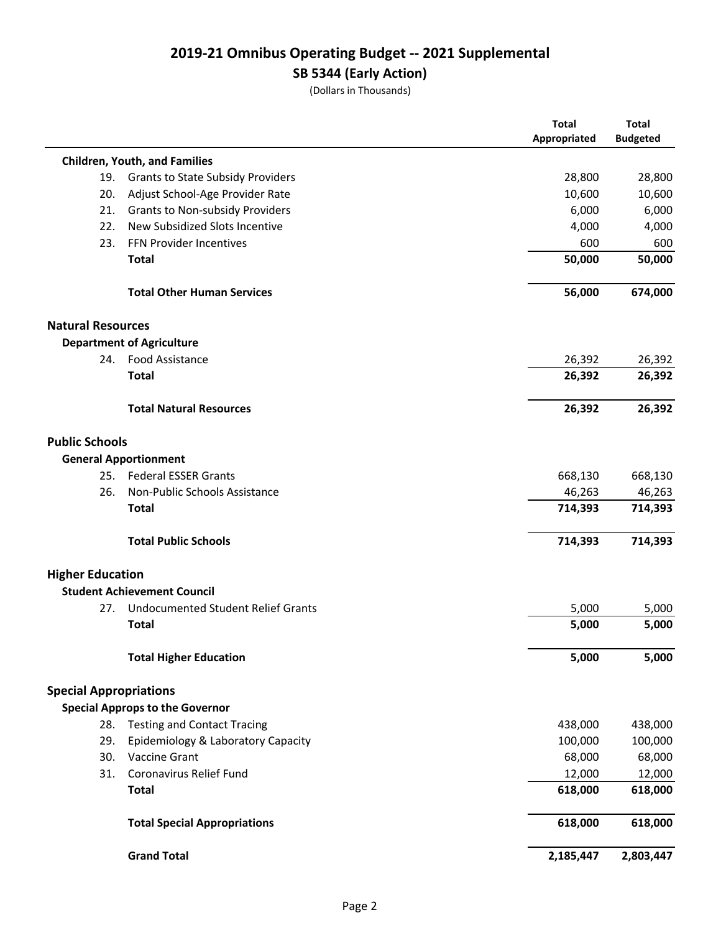# **2019-21 Omnibus Operating Budget -- 2021 Supplemental**

# **SB 5344 (Early Action)**

(Dollars in Thousands)

|                               |                                           | <b>Total</b> | <b>Total</b>    |
|-------------------------------|-------------------------------------------|--------------|-----------------|
|                               |                                           | Appropriated | <b>Budgeted</b> |
|                               | <b>Children, Youth, and Families</b>      |              |                 |
| 19.                           | <b>Grants to State Subsidy Providers</b>  | 28,800       | 28,800          |
| 20.                           | Adjust School-Age Provider Rate           | 10,600       | 10,600          |
| 21.                           | <b>Grants to Non-subsidy Providers</b>    | 6,000        | 6,000           |
| 22.                           | New Subsidized Slots Incentive            | 4,000        | 4,000           |
| 23.                           | FFN Provider Incentives                   | 600          | 600             |
|                               | <b>Total</b>                              | 50,000       | 50,000          |
|                               | <b>Total Other Human Services</b>         | 56,000       | 674,000         |
| <b>Natural Resources</b>      |                                           |              |                 |
|                               | <b>Department of Agriculture</b>          |              |                 |
| 24.                           | <b>Food Assistance</b>                    | 26,392       | 26,392          |
|                               | <b>Total</b>                              | 26,392       | 26,392          |
|                               | <b>Total Natural Resources</b>            | 26,392       | 26,392          |
| <b>Public Schools</b>         |                                           |              |                 |
|                               | <b>General Apportionment</b>              |              |                 |
| 25.                           | <b>Federal ESSER Grants</b>               | 668,130      | 668,130         |
| 26.                           | Non-Public Schools Assistance             | 46,263       | 46,263          |
|                               | <b>Total</b>                              | 714,393      | 714,393         |
|                               | <b>Total Public Schools</b>               | 714,393      | 714,393         |
| <b>Higher Education</b>       |                                           |              |                 |
|                               | <b>Student Achievement Council</b>        |              |                 |
| 27.                           | <b>Undocumented Student Relief Grants</b> | 5,000        | 5,000           |
|                               | <b>Total</b>                              | 5,000        | 5,000           |
|                               | <b>Total Higher Education</b>             | 5,000        | 5,000           |
| <b>Special Appropriations</b> |                                           |              |                 |
|                               | <b>Special Approps to the Governor</b>    |              |                 |
| 28.                           | <b>Testing and Contact Tracing</b>        | 438,000      | 438,000         |
| 29.                           | Epidemiology & Laboratory Capacity        | 100,000      | 100,000         |
| 30.                           | Vaccine Grant                             | 68,000       | 68,000          |
| 31.                           | Coronavirus Relief Fund                   | 12,000       | 12,000          |
|                               | <b>Total</b>                              | 618,000      | 618,000         |
|                               | <b>Total Special Appropriations</b>       | 618,000      | 618,000         |
|                               | <b>Grand Total</b>                        | 2,185,447    | 2,803,447       |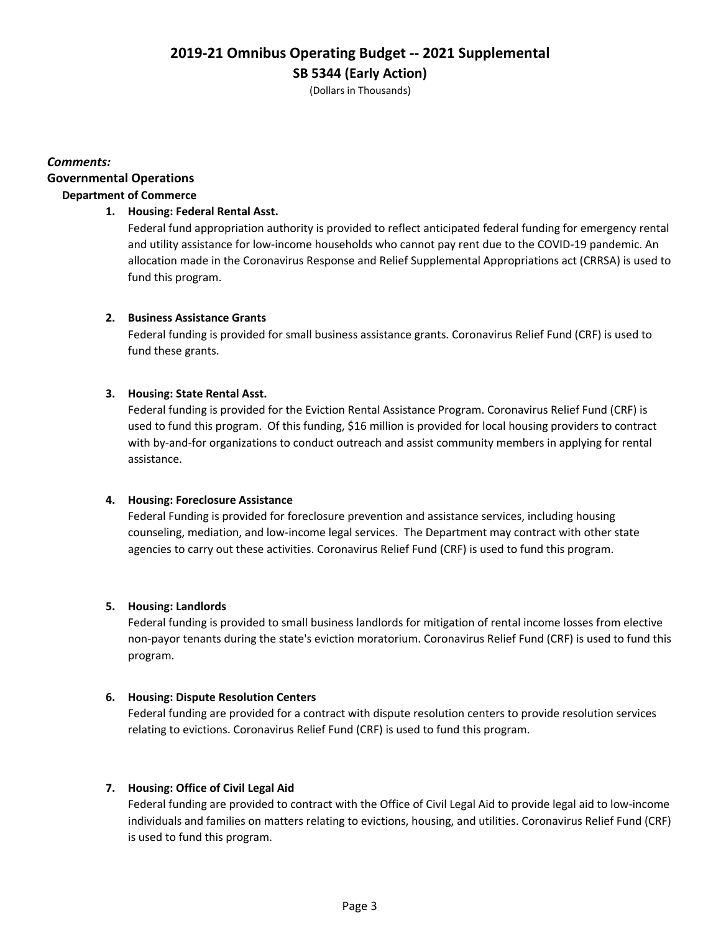(Dollars in Thousands)

## **Governmental Operations** *Comments:* **Department of Commerce**

## **1. Housing: Federal Rental Asst.**

Federal fund appropriation authority is provided to reflect anticipated federal funding for emergency rental and utility assistance for low-income households who cannot pay rent due to the COVID-19 pandemic. An allocation made in the Coronavirus Response and Relief Supplemental Appropriations act (CRRSA) is used to fund this program.

## **2. Business Assistance Grants**

Federal funding is provided for small business assistance grants. Coronavirus Relief Fund (CRF) is used to fund these grants.

## **3. Housing: State Rental Asst.**

Federal funding is provided for the Eviction Rental Assistance Program. Coronavirus Relief Fund (CRF) is used to fund this program. Of this funding, \$16 million is provided for local housing providers to contract with by-and-for organizations to conduct outreach and assist community members in applying for rental assistance.

## **4. Housing: Foreclosure Assistance**

Federal Funding is provided for foreclosure prevention and assistance services, including housing counseling, mediation, and low-income legal services. The Department may contract with other state agencies to carry out these activities. Coronavirus Relief Fund (CRF) is used to fund this program.

## **5. Housing: Landlords**

Federal funding is provided to small business landlords for mitigation of rental income losses from elective non-payor tenants during the state's eviction moratorium. Coronavirus Relief Fund (CRF) is used to fund this program.

## **6. Housing: Dispute Resolution Centers**

Federal funding are provided for a contract with dispute resolution centers to provide resolution services relating to evictions. Coronavirus Relief Fund (CRF) is used to fund this program.

## **7. Housing: Office of Civil Legal Aid**

Federal funding are provided to contract with the Office of Civil Legal Aid to provide legal aid to low-income individuals and families on matters relating to evictions, housing, and utilities. Coronavirus Relief Fund (CRF) is used to fund this program.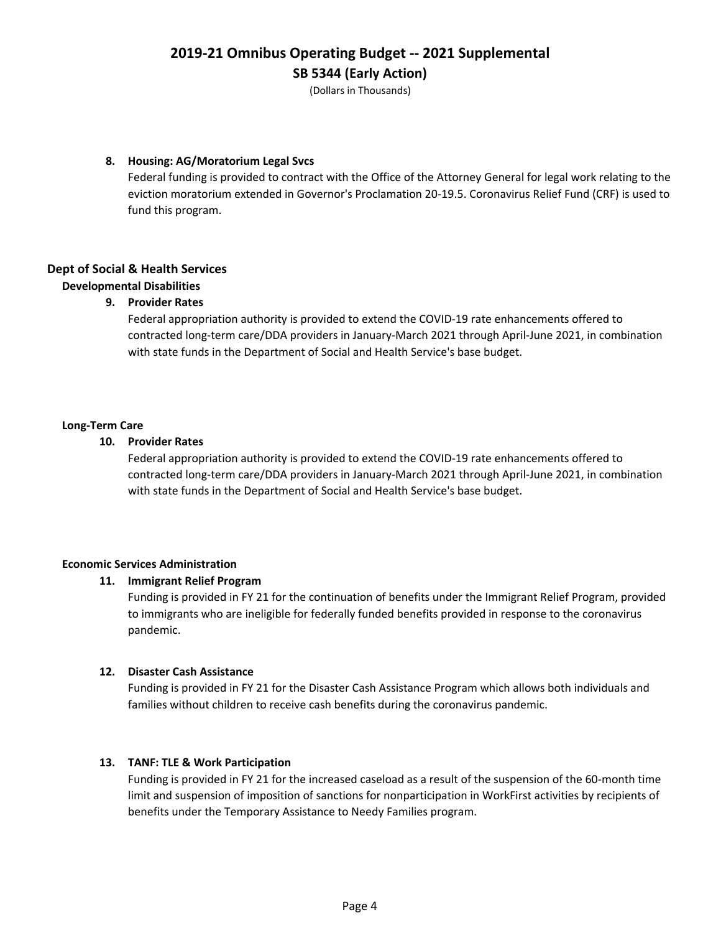(Dollars in Thousands)

## **8. Housing: AG/Moratorium Legal Svcs**

Federal funding is provided to contract with the Office of the Attorney General for legal work relating to the eviction moratorium extended in Governor's Proclamation 20-19.5. Coronavirus Relief Fund (CRF) is used to fund this program.

## **Dept of Social & Health Services**

## **Developmental Disabilities**

## **9. Provider Rates**

Federal appropriation authority is provided to extend the COVID-19 rate enhancements offered to contracted long-term care/DDA providers in January-March 2021 through April-June 2021, in combination with state funds in the Department of Social and Health Service's base budget.

#### **Long-Term Care**

#### **10. Provider Rates**

Federal appropriation authority is provided to extend the COVID-19 rate enhancements offered to contracted long-term care/DDA providers in January-March 2021 through April-June 2021, in combination with state funds in the Department of Social and Health Service's base budget.

#### **Economic Services Administration**

#### **11. Immigrant Relief Program**

Funding is provided in FY 21 for the continuation of benefits under the Immigrant Relief Program, provided to immigrants who are ineligible for federally funded benefits provided in response to the coronavirus pandemic.

#### **12. Disaster Cash Assistance**

Funding is provided in FY 21 for the Disaster Cash Assistance Program which allows both individuals and families without children to receive cash benefits during the coronavirus pandemic.

#### **13. TANF: TLE & Work Participation**

Funding is provided in FY 21 for the increased caseload as a result of the suspension of the 60-month time limit and suspension of imposition of sanctions for nonparticipation in WorkFirst activities by recipients of benefits under the Temporary Assistance to Needy Families program.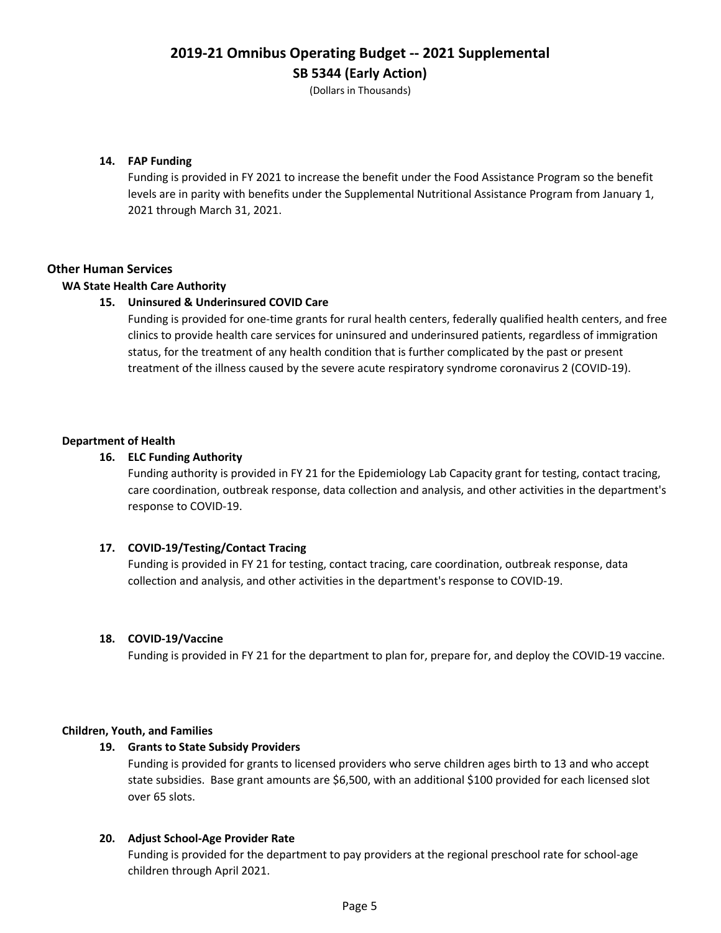(Dollars in Thousands)

## **14. FAP Funding**

Funding is provided in FY 2021 to increase the benefit under the Food Assistance Program so the benefit levels are in parity with benefits under the Supplemental Nutritional Assistance Program from January 1, 2021 through March 31, 2021.

## **Other Human Services**

#### **WA State Health Care Authority**

## **15. Uninsured & Underinsured COVID Care**

Funding is provided for one-time grants for rural health centers, federally qualified health centers, and free clinics to provide health care services for uninsured and underinsured patients, regardless of immigration status, for the treatment of any health condition that is further complicated by the past or present treatment of the illness caused by the severe acute respiratory syndrome coronavirus 2 (COVID-19).

#### **Department of Health**

#### **16. ELC Funding Authority**

Funding authority is provided in FY 21 for the Epidemiology Lab Capacity grant for testing, contact tracing, care coordination, outbreak response, data collection and analysis, and other activities in the department's response to COVID-19.

#### **17. COVID-19/Testing/Contact Tracing**

Funding is provided in FY 21 for testing, contact tracing, care coordination, outbreak response, data collection and analysis, and other activities in the department's response to COVID-19.

#### **18. COVID-19/Vaccine**

Funding is provided in FY 21 for the department to plan for, prepare for, and deploy the COVID-19 vaccine.

#### **Children, Youth, and Families**

#### **19. Grants to State Subsidy Providers**

Funding is provided for grants to licensed providers who serve children ages birth to 13 and who accept state subsidies. Base grant amounts are \$6,500, with an additional \$100 provided for each licensed slot over 65 slots.

#### **20. Adjust School-Age Provider Rate**

Funding is provided for the department to pay providers at the regional preschool rate for school-age children through April 2021.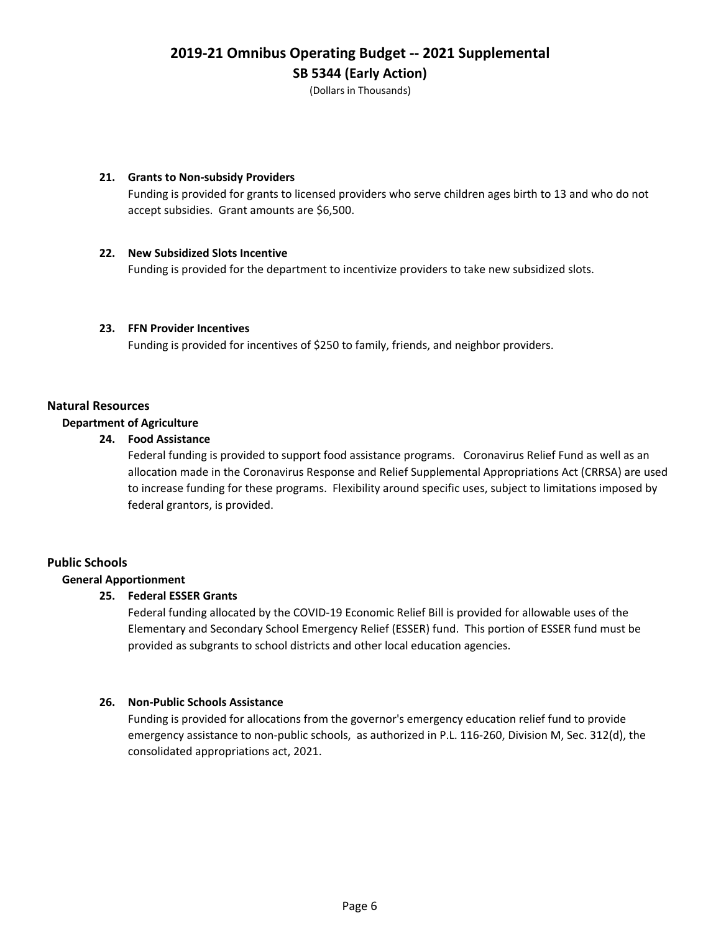(Dollars in Thousands)

#### **21. Grants to Non-subsidy Providers**

Funding is provided for grants to licensed providers who serve children ages birth to 13 and who do not accept subsidies. Grant amounts are \$6,500.

#### **22. New Subsidized Slots Incentive**

Funding is provided for the department to incentivize providers to take new subsidized slots.

## **23. FFN Provider Incentives**

Funding is provided for incentives of \$250 to family, friends, and neighbor providers.

## **Natural Resources**

#### **Department of Agriculture**

#### **24. Food Assistance**

Federal funding is provided to support food assistance programs. Coronavirus Relief Fund as well as an allocation made in the Coronavirus Response and Relief Supplemental Appropriations Act (CRRSA) are used to increase funding for these programs. Flexibility around specific uses, subject to limitations imposed by federal grantors, is provided.

## **Public Schools**

## **General Apportionment**

## **25. Federal ESSER Grants**

Federal funding allocated by the COVID-19 Economic Relief Bill is provided for allowable uses of the Elementary and Secondary School Emergency Relief (ESSER) fund. This portion of ESSER fund must be provided as subgrants to school districts and other local education agencies.

## **26. Non-Public Schools Assistance**

Funding is provided for allocations from the governor's emergency education relief fund to provide emergency assistance to non-public schools, as authorized in P.L. 116-260, Division M, Sec. 312(d), the consolidated appropriations act, 2021.